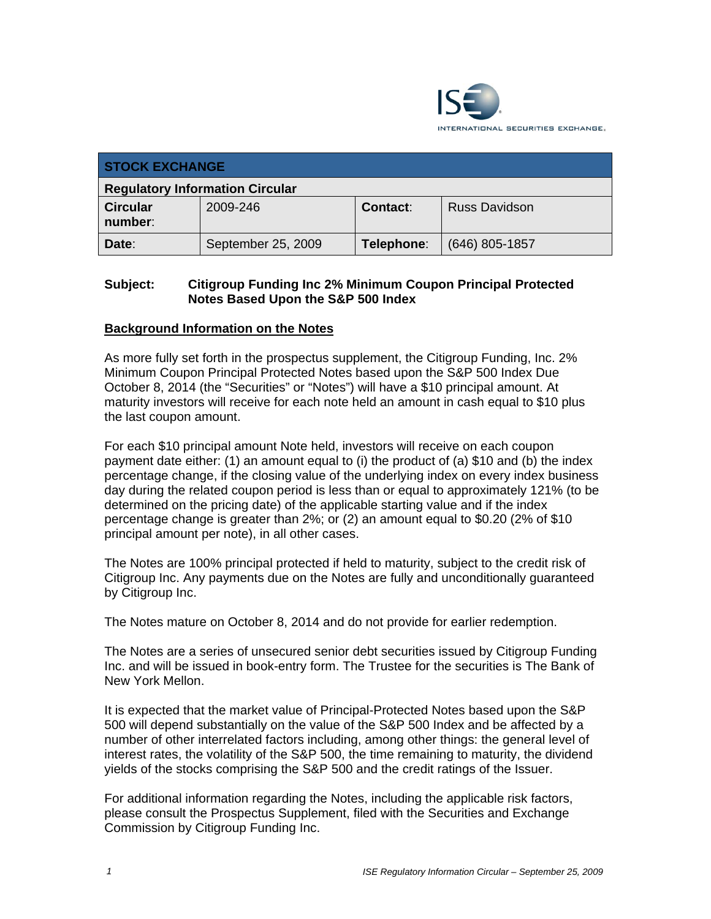

| <b>STOCK EXCHANGE</b>                  |                    |            |                      |  |  |
|----------------------------------------|--------------------|------------|----------------------|--|--|
| <b>Regulatory Information Circular</b> |                    |            |                      |  |  |
| <b>Circular</b><br>number:             | 2009-246           | Contact:   | <b>Russ Davidson</b> |  |  |
| Date:                                  | September 25, 2009 | Telephone: | $(646)$ 805-1857     |  |  |

## **Subject: Citigroup Funding Inc 2% Minimum Coupon Principal Protected Notes Based Upon the S&P 500 Index**

## **Background Information on the Notes**

As more fully set forth in the prospectus supplement, the Citigroup Funding, Inc. 2% Minimum Coupon Principal Protected Notes based upon the S&P 500 Index Due October 8, 2014 (the "Securities" or "Notes") will have a \$10 principal amount. At maturity investors will receive for each note held an amount in cash equal to \$10 plus the last coupon amount.

For each \$10 principal amount Note held, investors will receive on each coupon payment date either: (1) an amount equal to (i) the product of (a) \$10 and (b) the index percentage change, if the closing value of the underlying index on every index business day during the related coupon period is less than or equal to approximately 121% (to be determined on the pricing date) of the applicable starting value and if the index percentage change is greater than 2%; or (2) an amount equal to \$0.20 (2% of \$10 principal amount per note), in all other cases.

The Notes are 100% principal protected if held to maturity, subject to the credit risk of Citigroup Inc. Any payments due on the Notes are fully and unconditionally guaranteed by Citigroup Inc.

The Notes mature on October 8, 2014 and do not provide for earlier redemption.

The Notes are a series of unsecured senior debt securities issued by Citigroup Funding Inc. and will be issued in book-entry form. The Trustee for the securities is The Bank of New York Mellon.

It is expected that the market value of Principal-Protected Notes based upon the S&P 500 will depend substantially on the value of the S&P 500 Index and be affected by a number of other interrelated factors including, among other things: the general level of interest rates, the volatility of the S&P 500, the time remaining to maturity, the dividend yields of the stocks comprising the S&P 500 and the credit ratings of the Issuer.

For additional information regarding the Notes, including the applicable risk factors, please consult the Prospectus Supplement, filed with the Securities and Exchange Commission by Citigroup Funding Inc.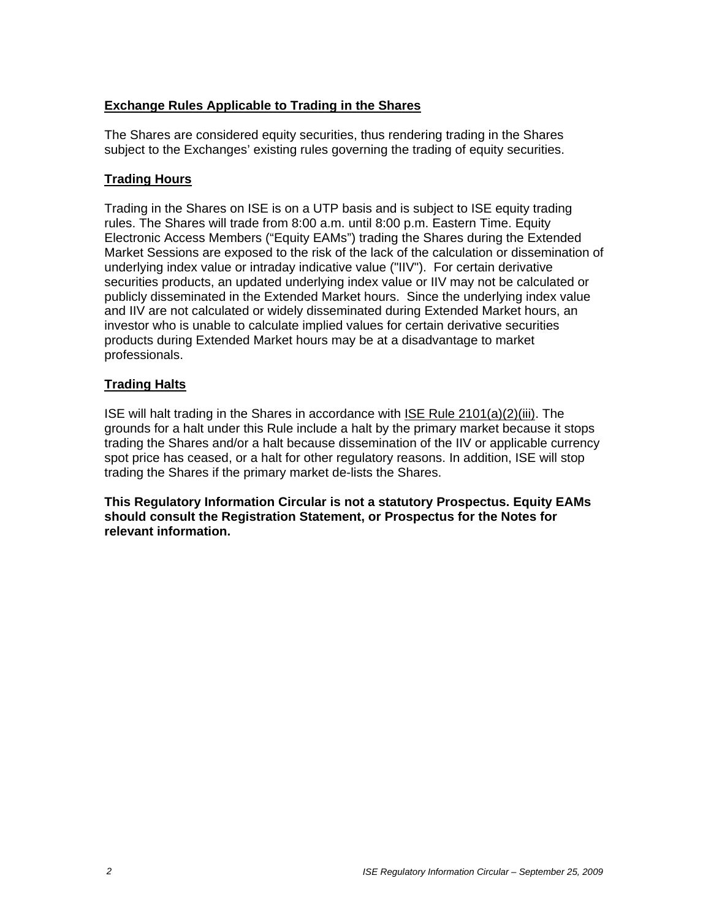## **Exchange Rules Applicable to Trading in the Shares**

The Shares are considered equity securities, thus rendering trading in the Shares subject to the Exchanges' existing rules governing the trading of equity securities.

# **Trading Hours**

Trading in the Shares on ISE is on a UTP basis and is subject to ISE equity trading rules. The Shares will trade from 8:00 a.m. until 8:00 p.m. Eastern Time. Equity Electronic Access Members ("Equity EAMs") trading the Shares during the Extended Market Sessions are exposed to the risk of the lack of the calculation or dissemination of underlying index value or intraday indicative value ("IIV"). For certain derivative securities products, an updated underlying index value or IIV may not be calculated or publicly disseminated in the Extended Market hours. Since the underlying index value and IIV are not calculated or widely disseminated during Extended Market hours, an investor who is unable to calculate implied values for certain derivative securities products during Extended Market hours may be at a disadvantage to market professionals.

## **Trading Halts**

ISE will halt trading in the Shares in accordance with ISE Rule 2101(a)(2)(iii). The grounds for a halt under this Rule include a halt by the primary market because it stops trading the Shares and/or a halt because dissemination of the IIV or applicable currency spot price has ceased, or a halt for other regulatory reasons. In addition, ISE will stop trading the Shares if the primary market de-lists the Shares.

**This Regulatory Information Circular is not a statutory Prospectus. Equity EAMs should consult the Registration Statement, or Prospectus for the Notes for relevant information.**